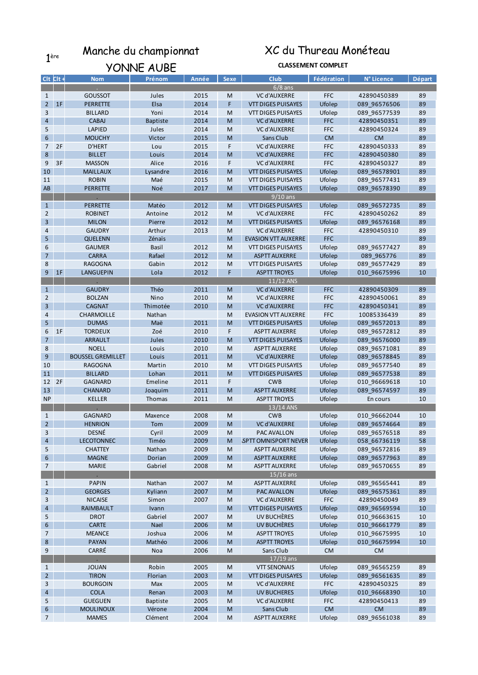## 1<sup>ère</sup> Manche du championnat XC du Thureau Monéteau

|                |               | YONNE AUBE               |                 |       |             | <b>CLASSEMENT COMPLET</b>  |            |              |        |  |  |
|----------------|---------------|--------------------------|-----------------|-------|-------------|----------------------------|------------|--------------|--------|--|--|
|                | $Clt$ $Clt +$ | <b>Nom</b>               | Prénom          | Année | <b>Sexe</b> | <b>Club</b>                | Fédération | N° Licence   | Départ |  |  |
|                |               |                          |                 |       |             | $6/8$ ans                  |            |              |        |  |  |
| 1              |               | <b>GOUSSOT</b>           | Jules           | 2015  | M           | <b>VC d'AUXERRE</b>        | <b>FFC</b> | 42890450389  | 89     |  |  |
| $2^{\circ}$    | 1F            | <b>PERRETTE</b>          | Elsa            | 2014  | F           | <b>VTT DIGES PUISAYES</b>  | Ufolep     | 089_96576506 | 89     |  |  |
| 3              |               | <b>BILLARD</b>           | Yoni            | 2014  | M           | <b>VTT DIGES PUISAYES</b>  | Ufolep     | 089 96577539 | 89     |  |  |
| $\overline{4}$ |               | <b>CABAJ</b>             | <b>Baptiste</b> | 2014  | M           | <b>VC d'AUXERRE</b>        | <b>FFC</b> | 42890450351  | 89     |  |  |
| 5              |               | <b>LAPIED</b>            | Jules           | 2014  | M           | <b>VC d'AUXERRE</b>        | <b>FFC</b> | 42890450324  | 89     |  |  |
| 6              |               | <b>MOUCHY</b>            | Victor          | 2015  | M           | Sans Club                  | <b>CM</b>  | <b>CM</b>    | 89     |  |  |
| 7 <sup>7</sup> | 2F            | <b>D'HERT</b>            | Lou             | 2015  | F           | <b>VC d'AUXERRE</b>        | <b>FFC</b> | 42890450333  | 89     |  |  |
| 8              |               | <b>BILLET</b>            | Louis           | 2014  | M           | <b>VC d'AUXERRE</b>        | <b>FFC</b> | 42890450380  | 89     |  |  |
| 9              | 3F            | <b>MASSON</b>            | Alice           | 2016  | F           | <b>VC d'AUXERRE</b>        | <b>FFC</b> | 42890450327  | 89     |  |  |
| 10             |               | <b>MAILLAUX</b>          | Lysandre        | 2016  | M           | <b>VTT DIGES PUISAYES</b>  | Ufolep     | 089 96578901 | 89     |  |  |
| 11             |               | <b>ROBIN</b>             | Maé             | 2015  | M           | <b>VTT DIGES PUISAYES</b>  | Ufolep     | 089 96577431 | 89     |  |  |
| AB             |               | <b>PERRETTE</b>          | Noé             | 2017  | M           | <b>VTT DIGES PUISAYES</b>  | Ufolep     | 089_96578390 | 89     |  |  |
|                |               |                          |                 |       |             | $9/10$ ans                 |            |              |        |  |  |
| 1              |               | <b>PERRETTE</b>          | Matéo           | 2012  | M           | <b>VTT DIGES PUISAYES</b>  | Ufolep     | 089_96572735 | 89     |  |  |
| $\overline{2}$ |               | <b>ROBINET</b>           | Antoine         | 2012  | M           | <b>VC d'AUXERRE</b>        | <b>FFC</b> | 42890450262  | 89     |  |  |
| 3              |               | <b>MILON</b>             | Pierre          | 2012  | M           | <b>VTT DIGES PUISAYES</b>  | Ufolep     | 089_96576168 | 89     |  |  |
| 4              |               | <b>GAUDRY</b>            | Arthur          | 2013  | M           | <b>VC d'AUXERRE</b>        | <b>FFC</b> | 42890450310  | 89     |  |  |
| 5              |               | <b>QUELENN</b>           | Zénaïs          |       | M           | <b>EVASION VTT AUXERRE</b> | <b>FFC</b> |              | 89     |  |  |
| 6              |               | <b>GAUMER</b>            | Basil           | 2012  | M           | <b>VTT DIGES PUISAYES</b>  | Ufolep     | 089 96577427 | 89     |  |  |
| $\overline{7}$ |               | <b>CARRA</b>             | Rafael          | 2012  | M           | <b>ASPTT AUXERRE</b>       | Ufolep     | 089_965776   | 89     |  |  |
| 8              |               | <b>RAGOGNA</b>           | Gabin           | 2012  | M           | VTT DIGES PUISAYES         | Ufolep     | 089 96577429 | 89     |  |  |
| 9              | 1F            | <b>LANGUEPIN</b>         | Lola            | 2012  | F           | <b>ASPTT TROYES</b>        | Ufolep     | 010_96675996 | 10     |  |  |
|                |               |                          |                 |       |             | 11/12 ANS                  |            |              |        |  |  |
| $\mathbf{1}$   |               | <b>GAUDRY</b>            | Théo            | 2011  | M           | <b>VC d'AUXERRE</b>        | <b>FFC</b> | 42890450309  | 89     |  |  |
| 2              |               | <b>BOLZAN</b>            | Nino            | 2010  | M           | <b>VC d'AUXERRE</b>        | <b>FFC</b> | 42890450061  | 89     |  |  |
| 3              |               | <b>CAGNAT</b>            | Thimotée        | 2010  | M           | <b>VC d'AUXERRE</b>        | <b>FFC</b> | 42890450341  | 89     |  |  |
| 4              |               | CHARMOILLE               | Nathan          |       | M           | <b>EVASION VTT AUXERRE</b> | <b>FFC</b> | 10085336439  | 89     |  |  |
| 5              |               | <b>DUMAS</b>             | Maë             | 2011  | M           | VTT DIGES PUISAYES         | Ufolep     | 089 96572013 | 89     |  |  |
| 6              | 1F            | <b>TORDEUX</b>           | Zoé             | 2010  | F           | <b>ASPTT AUXERRE</b>       | Ufolep     | 089 96572812 | 89     |  |  |
| 7              |               | <b>ARRAULT</b>           | Jules           | 2010  | M           | <b>VTT DIGES PUISAYES</b>  | Ufolep     | 089 96576000 | 89     |  |  |
| 8              |               | <b>NOELL</b>             |                 | 2010  | M           |                            |            |              | 89     |  |  |
| 9              |               |                          | Louis           |       |             | <b>ASPTT AUXERRE</b>       | Ufolep     | 089_96571081 |        |  |  |
|                |               | <b>BOUSSEL GREMILLET</b> | Louis           | 2011  | M           | <b>VC d'AUXERRE</b>        | Ufolep     | 089 96578845 | 89     |  |  |
| 10             |               | <b>RAGOGNA</b>           | Martin          | 2010  | M           | VTT DIGES PUISAYES         | Ufolep     | 089 96577540 | 89     |  |  |
| 11             |               | <b>BILLARD</b>           | Lohan           | 2011  | M           | <b>VTT DIGES PUISAYES</b>  | Ufolep     | 089 96577538 | 89     |  |  |
|                | 12 2F         | <b>GAGNARD</b>           | Emeline         | 2011  | F           | <b>CWB</b>                 | Ufolep     | 010_96669618 | 10     |  |  |
| 13             |               | <b>CHANARD</b>           | Joaquim         | 2011  | M           | <b>ASPTT AUXERRE</b>       | Ufolep     | 089_96574597 | 89     |  |  |
| <b>NP</b>      |               | KELLER                   | Thomas          | 2011  | M           | <b>ASPTT TROYES</b>        | Ufolep     | En cours     | 10     |  |  |
|                |               |                          |                 |       |             | 13/14 ANS                  |            |              |        |  |  |
| $\mathbf{1}$   |               | <b>GAGNARD</b>           | Maxence         | 2008  | M           | <b>CWB</b>                 | Ufolep     | 010 96662044 | 10     |  |  |
| 2              |               | <b>HENRION</b>           | Tom             | 2009  | M           | VC d'AUXERRE               | Ufolep     | 089_96574664 | 89     |  |  |
| 3              |               | DESNÉ                    | Cyril           | 2009  | M           | PAC AVALLON                | Ufolep     | 089 96576518 | 89     |  |  |
| 4              |               | <b>LECOTONNEC</b>        | Timéo           | 2009  | M           | SPTT OMNISPORT NEVER       | Ufolep     | 058 66736119 | 58     |  |  |
| 5              |               | <b>CHATTEY</b>           | Nathan          | 2009  | M           | <b>ASPTT AUXERRE</b>       | Ufolep     | 089 96572816 | 89     |  |  |
| 6              |               | <b>MAGNE</b>             | Dorian          | 2009  | M           | <b>ASPTT AUXERRE</b>       | Ufolep     | 089 96577963 | 89     |  |  |
| $\overline{7}$ |               | <b>MARIE</b>             | Gabriel         | 2008  | M           | <b>ASPTT AUXERRE</b>       | Ufolep     | 089 96570655 | 89     |  |  |
|                |               |                          |                 |       |             | $15/16$ ans                |            |              |        |  |  |
| $\mathbf{1}$   |               | <b>PAPIN</b>             | Nathan          | 2007  | M           | <b>ASPTT AUXERRE</b>       | Ufolep     | 089 96565441 | 89     |  |  |
| $2^{\circ}$    |               | <b>GEORGES</b>           | Kyliann         | 2007  | M           | PAC AVALLON                | Ufolep     | 089 96575361 | 89     |  |  |
| 3              |               | <b>NICAISE</b>           | Simon           | 2007  | M           | <b>VC d'AUXERRE</b>        | <b>FFC</b> | 42890450049  | 89     |  |  |
| 4              |               | RAIMBAULT                | Ivann           |       | M           | <b>VTT DIGES PUISAYES</b>  | Ufolep     | 089 96569594 | 10     |  |  |
| 5              |               | <b>DROT</b>              | Gabriel         | 2007  | M           | UV BUCHÈRES                | Ufolep     | 010 96663615 | 10     |  |  |
| 6              |               | <b>CARTE</b>             | <b>Nael</b>     | 2006  | M           | UV BUCHÈRES                | Ufolep     | 010 96661779 | 89     |  |  |
| $\overline{7}$ |               | <b>MEANCE</b>            | Joshua          | 2006  | M           | <b>ASPTT TROYES</b>        | Ufolep     | 010 96675995 | 10     |  |  |
| 8              |               | <b>PAYAN</b>             | Mathéo          | 2006  | M           | <b>ASPTT TROYES</b>        | Ufolep     | 010 96675994 | 10     |  |  |
| 9              |               | CARRÉ                    | Noa             | 2006  | M           | Sans Club                  | <b>CM</b>  | <b>CM</b>    |        |  |  |
|                |               |                          |                 |       |             | $17/19$ ans                |            |              |        |  |  |
| $\mathbf{1}$   |               | <b>JOUAN</b>             | Robin           | 2005  | M           | <b>VTT SENONAIS</b>        | Ufolep     | 089 96565259 | 89     |  |  |
| $2^{\circ}$    |               | <b>TIRON</b>             | Florian         | 2003  | M           | <b>VTT DIGES PUISAYES</b>  | Ufolep     | 089 96561635 | 89     |  |  |
| 3              |               | <b>BOURGOIN</b>          | Max             | 2005  | M           | <b>VC d'AUXERRE</b>        | <b>FFC</b> | 42890450325  | 89     |  |  |
| $\overline{4}$ |               | <b>COLA</b>              | Renan           | 2003  | M           | <b>UV BUCHERES</b>         | Ufolep     | 010 96668390 | 10     |  |  |
| 5              |               | <b>GUEGUEN</b>           | <b>Baptiste</b> | 2005  | M           | <b>VC d'AUXERRE</b>        | <b>FFC</b> | 42890450413  | 89     |  |  |
| 6              |               | <b>MOULINOUX</b>         | Vérone          | 2004  | ${\sf M}$   | Sans Club                  | <b>CM</b>  | <b>CM</b>    | 89     |  |  |
| $\overline{7}$ |               | <b>MAMES</b>             | Clément         | 2004  | M           | <b>ASPTT AUXERRE</b>       | Ufolep     | 089 96561038 | 89     |  |  |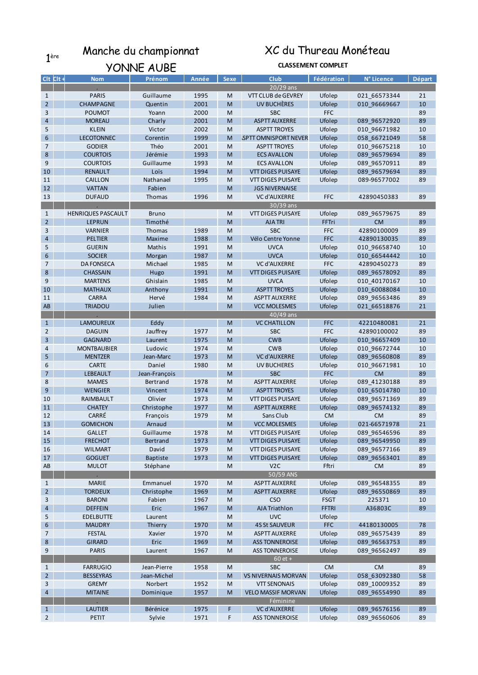### 1<sup>ère</sup> Manche du championnat XC du Thureau Monéteau

|                     | YONNE AUBE                        |                    |              |             | <b>CLASSEMENT COMPLET</b>          |                      |                             |               |  |  |
|---------------------|-----------------------------------|--------------------|--------------|-------------|------------------------------------|----------------------|-----------------------------|---------------|--|--|
| $Clt$ $Clt +$       | <b>Nom</b>                        | Prénom             | Année        | <b>Sexe</b> | <b>Club</b>                        | Fédération           | N° Licence                  | <b>Départ</b> |  |  |
|                     |                                   |                    |              |             | 20/29 ans                          |                      |                             |               |  |  |
| $\mathbf{1}$        | <b>PARIS</b>                      | Guillaume          | 1995         | M           | VTT CLUB de GEVREY                 | Ufolep               | 021_66573344                | 21            |  |  |
| $2^{\circ}$         | <b>CHAMPAGNE</b>                  | Quentin            | 2001         | M           | UV BUCHÈRES                        | Ufolep               | 010 96669667                | 10            |  |  |
| 3                   | <b>POUMOT</b>                     | Yoann              | 2000         | M           | <b>SBC</b>                         | <b>FFC</b>           |                             | 89            |  |  |
| $\overline{4}$      | <b>MOREAU</b>                     | Charly             | 2001         | M           | <b>ASPTT AUXERRE</b>               | Ufolep               | 089 96572920                | 89            |  |  |
| 5                   | <b>KLEIN</b>                      | Victor             | 2002         | M           | <b>ASPTT TROYES</b>                | Ufolep               | 010 96671982                | 10            |  |  |
| 6                   | <b>LECOTONNEC</b>                 | Corentin           | 1999         | M           | SPTT OMNISPORT NEVER               | Ufolep               | 058 66721049                | 58            |  |  |
| $\overline{7}$      | <b>GODIER</b>                     | Théo               | 2001         | M           | <b>ASPTT TROYES</b>                | Ufolep               | 010_96675218                | 10            |  |  |
| 8                   | <b>COURTOIS</b>                   | Jérémie            | 1993         | M           | <b>ECS AVALLON</b>                 | Ufolep               | 089 96579694                | 89            |  |  |
| 9                   | <b>COURTOIS</b>                   | Guillaume          | 1993         | M           | <b>ECS AVALLON</b>                 | Ufolep               | 089_96570911                | 89            |  |  |
| 10                  | <b>RENAULT</b>                    | Loïs               | 1994         | M           | <b>VTT DIGES PUISAYE</b>           | Ufolep               | 089 96579694                | 89            |  |  |
| 11                  | CAILLON                           | Nathanael          | 1995         | M           | VTT DIGES PUISAYE                  | Ufolep               | 089-96577002                | 89            |  |  |
| 12                  | <b>VATTAN</b>                     | Fabien             |              | M           | <b>JGS NIVERNAISE</b>              |                      |                             |               |  |  |
| 13                  | <b>DUFAUD</b>                     | Thomas             | 1996         | M           | <b>VC d'AUXERRE</b>                | <b>FFC</b>           | 42890450383                 | 89            |  |  |
|                     |                                   |                    |              |             | $30/39$ ans                        |                      |                             |               |  |  |
| $\mathbf{1}$        | <b>HENRIQUES PASCAULT</b>         | <b>Bruno</b>       |              | M           | VTT DIGES PUISAYE                  | Ufolep               | 089_96579675                | 89            |  |  |
| $2^{\circ}$         | <b>LEPRUN</b>                     | Timothé            |              | M           | <b>AJATRI</b>                      | FFTri                | <b>CM</b>                   | 89            |  |  |
| 3                   | <b>VARNIER</b>                    | Thomas             | 1989         | M           | <b>SBC</b>                         | <b>FFC</b>           | 42890100009                 | 89            |  |  |
| $\overline{4}$      | <b>PELTIER</b>                    | Maxime             | 1988         | M           | Vélo Centre Yonne                  | <b>FFC</b>           | 42890130035                 | 89            |  |  |
| 5                   | <b>GUERIN</b>                     | Mathis             | 1991         | M           | <b>UVCA</b>                        | Ufolep               | 010 96658740                | 10            |  |  |
| 6                   | <b>SOCIER</b>                     | Morgan             | 1987         | M           | <b>UVCA</b><br><b>VC d'AUXERRE</b> | Ufolep               | 010 66544442                | 10            |  |  |
| $\overline{7}$<br>8 | <b>DA FONSECA</b>                 | Michael            | 1985         | M<br>M      | <b>VTT DIGES PUISAYE</b>           | <b>FFC</b>           | 42890450273<br>089 96578092 | 89            |  |  |
| 9                   | <b>CHASSAIN</b><br><b>MARTENS</b> | Hugo<br>Ghislain   | 1991<br>1985 | M           | <b>UVCA</b>                        | Ufolep               | 010_40170167                | 89<br>10      |  |  |
| 10                  | <b>MATHAUX</b>                    | Anthony            | 1991         | M           | <b>ASPTT TROYES</b>                | Ufolep<br>Ufolep     | 010 60088084                | 10            |  |  |
| 11                  | <b>CARRA</b>                      | Hervé              | 1984         | M           | <b>ASPTT AUXERRE</b>               | Ufolep               | 089_96563486                | 89            |  |  |
| AB                  | <b>TRIADOU</b>                    | Julien             |              | M           | <b>VCC MOLESMES</b>                | Ufolep               | 021_66518876                | 21            |  |  |
|                     |                                   |                    |              |             | $40/49$ ans                        |                      |                             |               |  |  |
| $\mathbf{1}$        | LAMOUREUX                         | Eddy               |              | M           | <b>VC CHATILLON</b>                | <b>FFC</b>           | 42210480081                 | 21            |  |  |
| $\overline{2}$      | <b>DAGUIN</b>                     | Jauffrey           | 1977         | M           | <b>SBC</b>                         | <b>FFC</b>           | 42890100002                 | 89            |  |  |
| $\overline{3}$      | <b>GAGNARD</b>                    | Laurent            | 1975         | M           | <b>CWB</b>                         | Ufolep               | 010 96657409                | 10            |  |  |
| 4                   | <b>MONTBAUBIER</b>                | Ludovic            | 1974         | M           | <b>CWB</b>                         | Ufolep               | 010_96672744                | 10            |  |  |
| 5                   | <b>MENTZER</b>                    | Jean-Marc          | 1973         | M           | <b>VC d'AUXERRE</b>                | Ufolep               | 089 96560808                | 89            |  |  |
| 6                   | <b>CARTE</b>                      | Daniel             | 1980         | M           | <b>UV BUCHERES</b>                 | Ufolep               | 010_96671981                | 10            |  |  |
| $\overline{7}$      | <b>LEBEAULT</b>                   | Jean-François      |              | M           | <b>SBC</b>                         | <b>FFC</b>           | <b>CM</b>                   | 89            |  |  |
| 8                   | <b>MAMES</b>                      | Bertrand           | 1978         | M           | <b>ASPTT AUXERRE</b>               | Ufolep               | 089 41230188                | 89            |  |  |
| 9                   | WENGIER                           | Vincent            | 1974         | M           | <b>ASPTT TROYES</b>                | Ufolep               | 010 65014780                | 10            |  |  |
| 10                  | <b>RAIMBAULT</b>                  | Olivier            | 1973         | M           | <b>VTT DIGES PUISAYE</b>           | Ufolep               | 089 96571369                | 89            |  |  |
| 11                  | <b>CHATEY</b>                     | Christophe         | 1977         | M           | <b>ASPTT AUXERRE</b>               | Ufolep               | 089 96574132                | 89            |  |  |
| 12                  | CARRÉ                             | François           | 1979         | M           | Sans Club                          | <b>CM</b>            | <b>CM</b>                   | 89            |  |  |
| 13                  | GOMICHON                          | Arnaud             |              | M           | <b>VCC MOLESMES</b>                | Utolep               | 021-66571978                | 21            |  |  |
| 14                  | <b>GALLET</b>                     | Guillaume          | 1978         | M           | <b>VTT DIGES PUISAYE</b>           | Ufolep               | 089 96546596                | 89            |  |  |
| 15                  | <b>FRECHOT</b>                    | Bertrand           | 1973         | M           | <b>VTT DIGES PUISAYE</b>           | Ufolep               | 089 96549950                | 89            |  |  |
| 16                  | WILMART                           | David              | 1979         | М           | VTT DIGES PUISAYE                  | Ufolep               | 089_96577166                | 89            |  |  |
| 17                  | <b>GOGUET</b>                     | <b>Baptiste</b>    | 1973         | M           | <b>VTT DIGES PUISAYE</b>           | Ufolep               | 089 96563401                | 89            |  |  |
| AB                  | <b>MULOT</b>                      | Stéphane           |              | M           | V <sub>2</sub> C                   | Fftri                | <b>CM</b>                   | 89            |  |  |
|                     |                                   |                    |              |             | 50/59 ANS                          |                      |                             |               |  |  |
| $\mathbf{1}$        | <b>MARIE</b>                      | Emmanuel           | 1970         | M           | <b>ASPTT AUXERRE</b>               | Ufolep               | 089 96548355                | 89            |  |  |
| $2^{\circ}$         | <b>TORDEUX</b>                    | Christophe         | 1969         | M           | <b>ASPTT AUXERRE</b>               | Ufolep               | 089 96550869                | 89            |  |  |
| 3<br>$\overline{4}$ | <b>BARONI</b><br><b>DEFFEIN</b>   | Fabien<br>Eric     | 1967         | M           | <b>CSO</b><br><b>AJA Triathlon</b> | <b>FSGT</b>          | 225371                      | 10<br>89      |  |  |
|                     |                                   |                    | 1967         | M           |                                    | <b>FFTRI</b>         | A36803C                     |               |  |  |
| 5<br>6              | <b>EDELBUTTE</b><br><b>MAUDRY</b> | Laurent<br>Thierry | 1970         | M<br>M      | <b>UVC</b><br><b>4S St SAUVEUR</b> | Ufolep<br><b>FFC</b> | 44180130005                 | 78            |  |  |
| $\overline{7}$      | <b>FESTAL</b>                     | Xavier             | 1970         | M           | <b>ASPTT AUXERRE</b>               | Ufolep               | 089 96575439                | 89            |  |  |
| 8                   | <b>GIRARD</b>                     | Eric               | 1969         | M           | <b>ASS TONNEROISE</b>              | Ufolep               | 089 96563753                | 89            |  |  |
| 9                   | <b>PARIS</b>                      | Laurent            | 1967         | M           | <b>ASS TONNEROISE</b>              | Ufolep               | 089 96562497                | 89            |  |  |
|                     |                                   |                    |              |             | $60$ et +                          |                      |                             |               |  |  |
| $\mathbf{1}$        | <b>FARRUGIO</b>                   | Jean-Pierre        | 1958         | M           | <b>SBC</b>                         | <b>CM</b>            | <b>CM</b>                   | 89            |  |  |
| $\overline{2}$      | <b>BESSEYRAS</b>                  | Jean-Michel        |              | M           | VS NIVERNAIS MORVAN                | Ufolep               | 058 63092380                | 58            |  |  |
| 3                   | <b>GREMY</b>                      | Norbert            | 1952         | M           | <b>VTT SENONAIS</b>                | Ufolep               | 089_10009352                | 89            |  |  |
| $\overline{4}$      | <b>MITAINE</b>                    | Dominique          | 1957         | M           | <b>VELO MASSIF MORVAN</b>          | Ufolep               | 089_96554990                | 89            |  |  |
|                     |                                   |                    |              |             | Féminine                           |                      |                             |               |  |  |
| $\mathbf{1}$        | <b>LAUTIER</b>                    | Bérénice           | 1975         | F           | <b>VC d'AUXERRE</b>                | Ufolep               | 089 96576156                | 89            |  |  |
| $\overline{2}$      | <b>PETIT</b>                      | Sylvie             | 1971         | F           | <b>ASS TONNEROISE</b>              | Ufolep               | 089_96560606                | 89            |  |  |